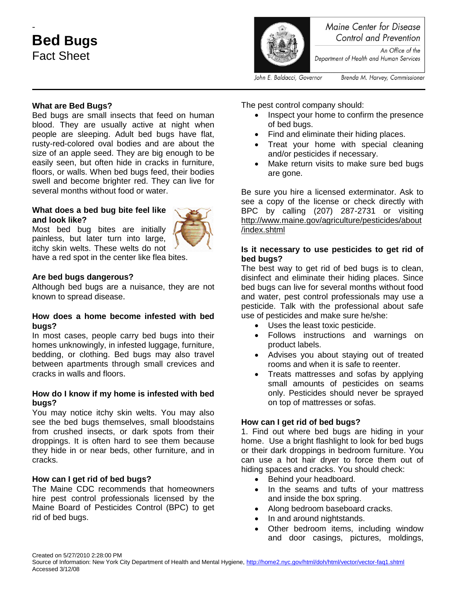# - **Bed Bugs** Fact Sheet



Maine Center for Disease Control and Prevention

An Office of the Department of Health and Human Services

John E. Baldacci, Governor

Brenda M. Harvey, Commissioner

#### **What are Bed Bugs?**

Bed bugs are small insects that feed on human blood. They are usually active at night when people are sleeping. Adult bed bugs have flat, rusty-red-colored oval bodies and are about the size of an apple seed. They are big enough to be easily seen, but often hide in cracks in furniture, floors, or walls. When bed bugs feed, their bodies swell and become brighter red. They can live for several months without food or water.

#### **What does a bed bug bite feel like and look like?**



Most bed bug bites are initially painless, but later turn into large, itchy skin welts. These welts do not

have a red spot in the center like flea bites.

#### **Are bed bugs dangerous?**

Although bed bugs are a nuisance, they are not known to spread disease.

#### **How does a home become infested with bed bugs?**

In most cases, people carry bed bugs into their homes unknowingly, in infested luggage, furniture, bedding, or clothing. Bed bugs may also travel between apartments through small crevices and cracks in walls and floors.

#### **How do I know if my home is infested with bed bugs?**

You may notice itchy skin welts. You may also see the bed bugs themselves, small bloodstains from crushed insects, or dark spots from their droppings. It is often hard to see them because they hide in or near beds, other furniture, and in cracks.

## **How can I get rid of bed bugs?**

The Maine CDC recommends that homeowners hire pest control professionals licensed by the Maine Board of Pesticides Control (BPC) to get rid of bed bugs.

The pest control company should:

- Inspect your home to confirm the presence of bed bugs.
- Find and eliminate their hiding places.
- Treat your home with special cleaning and/or pesticides if necessary.
- Make return visits to make sure bed bugs are gone.

Be sure you hire a licensed exterminator. Ask to see a copy of the license or check directly with BPC by calling (207) 287-2731 or visiting [http://www.maine.gov/agriculture/pesticides/about](http://www.maine.gov/agriculture/pesticides/about/index.shtml) [/index.shtml](http://www.maine.gov/agriculture/pesticides/about/index.shtml)

#### **Is it necessary to use pesticides to get rid of bed bugs?**

The best way to get rid of bed bugs is to clean, disinfect and eliminate their hiding places. Since bed bugs can live for several months without food and water, pest control professionals may use a pesticide. Talk with the professional about safe use of pesticides and make sure he/she:

- Uses the least toxic pesticide.
- Follows instructions and warnings on product labels.
- Advises you about staying out of treated rooms and when it is safe to reenter.
- Treats mattresses and sofas by applying small amounts of pesticides on seams only. Pesticides should never be sprayed on top of mattresses or sofas.

## **How can I get rid of bed bugs?**

1. Find out where bed bugs are hiding in your home. Use a bright flashlight to look for bed bugs or their dark droppings in bedroom furniture. You can use a hot hair dryer to force them out of hiding spaces and cracks. You should check:

- Behind your headboard.
- In the seams and tufts of your mattress and inside the box spring.
- Along bedroom baseboard cracks.
- In and around nightstands.
- Other bedroom items, including window and door casings, pictures, moldings,